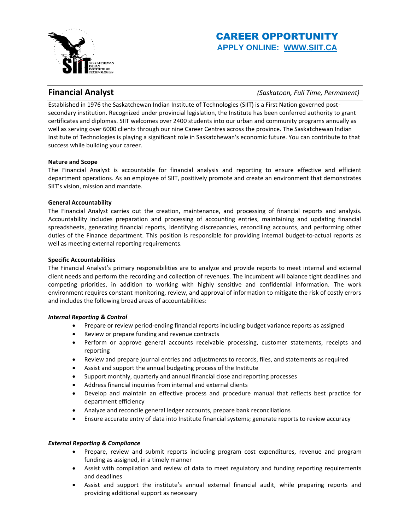

# CAREER OPPORTUNITY **APPLY ONLINE: [WWW.SIIT.CA](https://siit.ca/careers/)**

**Financial Analyst** *(Saskatoon, Full Time, Permanent)*

Established in 1976 the Saskatchewan Indian Institute of Technologies (SIIT) is a First Nation governed postsecondary institution. Recognized under provincial legislation, the Institute has been conferred authority to grant certificates and diplomas. SIIT welcomes over 2400 students into our urban and community programs annually as well as serving over 6000 clients through our nine Career Centres across the province. The Saskatchewan Indian Institute of Technologies is playing a significant role in Saskatchewan's economic future. You can contribute to that success while building your career.

# **Nature and Scope**

The Financial Analyst is accountable for financial analysis and reporting to ensure effective and efficient department operations. As an employee of SIIT, positively promote and create an environment that demonstrates SIIT's vision, mission and mandate.

# **General Accountability**

The Financial Analyst carries out the creation, maintenance, and processing of financial reports and analysis. Accountability includes preparation and processing of accounting entries, maintaining and updating financial spreadsheets, generating financial reports, identifying discrepancies, reconciling accounts, and performing other duties of the Finance department. This position is responsible for providing internal budget-to-actual reports as well as meeting external reporting requirements.

# **Specific Accountabilities**

The Financial Analyst's primary responsibilities are to analyze and provide reports to meet internal and external client needs and perform the recording and collection of revenues. The incumbent will balance tight deadlines and competing priorities, in addition to working with highly sensitive and confidential information. The work environment requires constant monitoring, review, and approval of information to mitigate the risk of costly errors and includes the following broad areas of accountabilities:

### *Internal Reporting & Control*

- Prepare or review period-ending financial reports including budget variance reports as assigned
- Review or prepare funding and revenue contracts
- Perform or approve general accounts receivable processing, customer statements, receipts and reporting
- Review and prepare journal entries and adjustments to records, files, and statements as required
- Assist and support the annual budgeting process of the Institute
- Support monthly, quarterly and annual financial close and reporting processes
- Address financial inquiries from internal and external clients
- Develop and maintain an effective process and procedure manual that reflects best practice for department efficiency
- Analyze and reconcile general ledger accounts, prepare bank reconciliations
- Ensure accurate entry of data into Institute financial systems; generate reports to review accuracy

### *External Reporting & Compliance*

- Prepare, review and submit reports including program cost expenditures, revenue and program funding as assigned, in a timely manner
- Assist with compilation and review of data to meet regulatory and funding reporting requirements and deadlines
- Assist and support the institute's annual external financial audit, while preparing reports and providing additional support as necessary